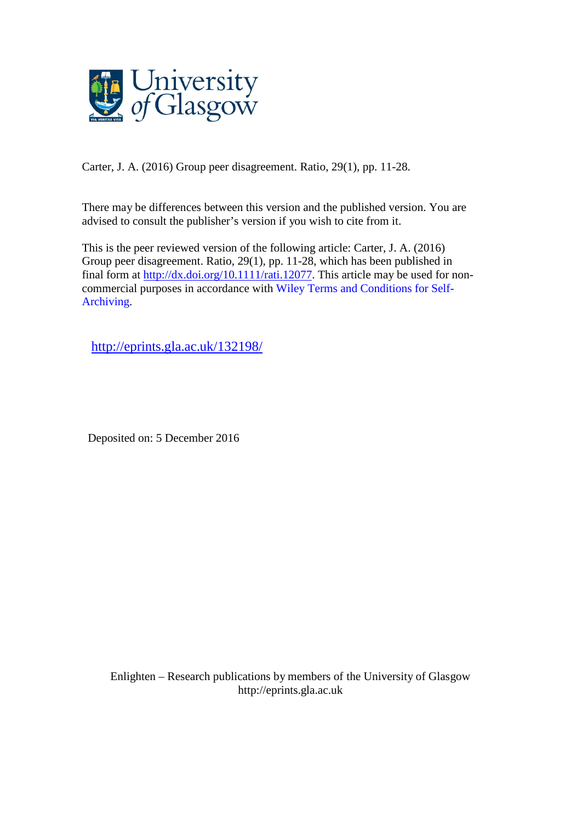

Carter, J. A. (2016) Group peer disagreement. Ratio, 29(1), pp. 11-28.

There may be differences between this version and the published version. You are advised to consult the publisher's version if you wish to cite from it.

This is the peer reviewed version of the following article: Carter, J. A. (2016) Group peer disagreement. Ratio, 29(1), pp. 11-28, which has been published in final form at [http://dx.doi.org/10.1111/rati.12077.](http://dx.doi.org/10.1111/rati.12077) This article may be used for noncommercial purposes in accordance with Wiley Terms and [Conditions](http://olabout.wiley.com/WileyCDA/Section/id-828039.html#terms) for Self-[Archiving.](http://olabout.wiley.com/WileyCDA/Section/id-828039.html#terms)

<http://eprints.gla.ac.uk/132198/>

Deposited on: 5 December 2016

Enlighten – Research publications by members of the University of Glasgo[w](http://eprints.gla.ac.uk/) [http://eprints.gla.ac.uk](http://eprints.gla.ac.uk/)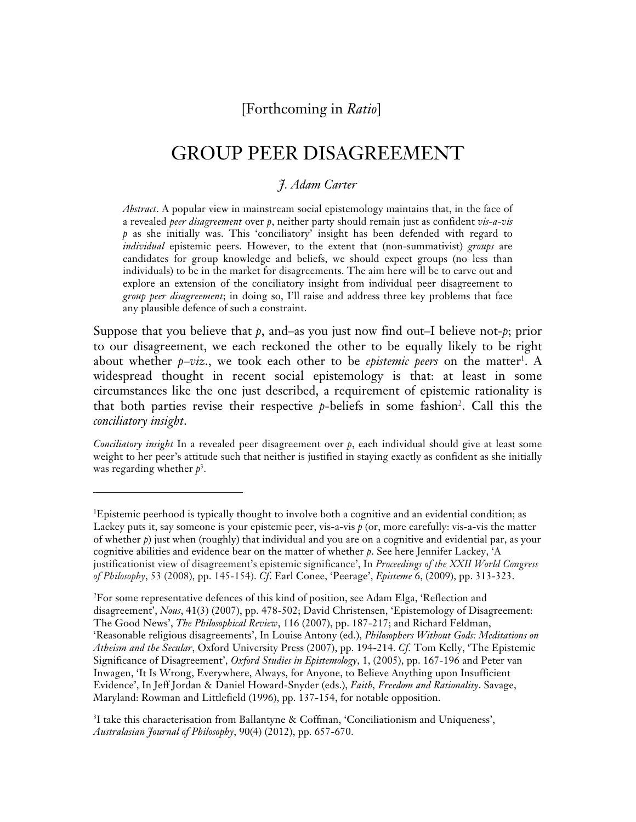#### [Forthcoming in *Ratio*]

## GROUP PEER DISAGREEMENT

#### *J. Adam Carter*

*Abstract*. A popular view in mainstream social epistemology maintains that, in the face of a revealed *peer disagreement* over *p*, neither party should remain just as confident *vis-a-vis p* as she initially was. This 'conciliatory' insight has been defended with regard to *individual* epistemic peers. However, to the extent that (non-summativist) *groups* are candidates for group knowledge and beliefs, we should expect groups (no less than individuals) to be in the market for disagreements. The aim here will be to carve out and explore an extension of the conciliatory insight from individual peer disagreement to *group peer disagreement*; in doing so, I'll raise and address three key problems that face any plausible defence of such a constraint.

Suppose that you believe that *p*, and–as you just now find out–I believe not-*p*; prior to our disagreement, we each reckoned the other to be equally likely to be right about whether *p–viz*., we took each other to be *epistemic peers* on the matter<sup>1</sup>. A widespread thought in recent social epistemology is that: at least in some circumstances like the one just described, a requirement of epistemic rationality is that both parties revise their respective  $p$ -beliefs in some fashion<sup>2</sup>. Call this the *conciliatory insight*.

*Conciliatory insight* In a revealed peer disagreement over  $p$ , each individual should give at least some weight to her peer's attitude such that neither is justified in staying exactly as confident as she initially was regarding whether  $p^3$ .

 

3 I take this characterisation from Ballantyne & Coffman, 'Conciliationism and Uniqueness', *Australasian Journal of Philosophy*, 90(4) (2012), pp. 657-670.

<sup>1</sup> Epistemic peerhood is typically thought to involve both a cognitive and an evidential condition; as Lackey puts it, say someone is your epistemic peer, vis-a-vis *p* (or, more carefully: vis-a-vis the matter of whether *p*) just when (roughly) that individual and you are on a cognitive and evidential par, as your cognitive abilities and evidence bear on the matter of whether *p*. See here Jennifer Lackey, 'A justificationist view of disagreement's epistemic significance', In *Proceedings of the XXII World Congress of Philosophy*, 53 (2008), pp. 145-154). *Cf*. Earl Conee, 'Peerage', *Episteme* 6, (2009), pp. 313-323.

<sup>2</sup> For some representative defences of this kind of position, see Adam Elga, 'Reflection and disagreement', *Nous*, 41(3) (2007), pp. 478-502; David Christensen, 'Epistemology of Disagreement: The Good News', *The Philosophical Review*, 116 (2007), pp. 187-217; and Richard Feldman, 'Reasonable religious disagreements', In Louise Antony (ed.), *Philosophers Without Gods: Meditations on Atheism and the Secular*, Oxford University Press (2007), pp. 194-214. *Cf.* Tom Kelly, 'The Epistemic Significance of Disagreement', *Oxford Studies in Epistemology*, 1, (2005), pp. 167-196 and Peter van Inwagen, 'It Is Wrong, Everywhere, Always, for Anyone, to Believe Anything upon Insufficient Evidence', In Jeff Jordan & Daniel Howard-Snyder (eds.), *Faith, Freedom and Rationality*. Savage, Maryland: Rowman and Littlefield (1996), pp. 137-154, for notable opposition.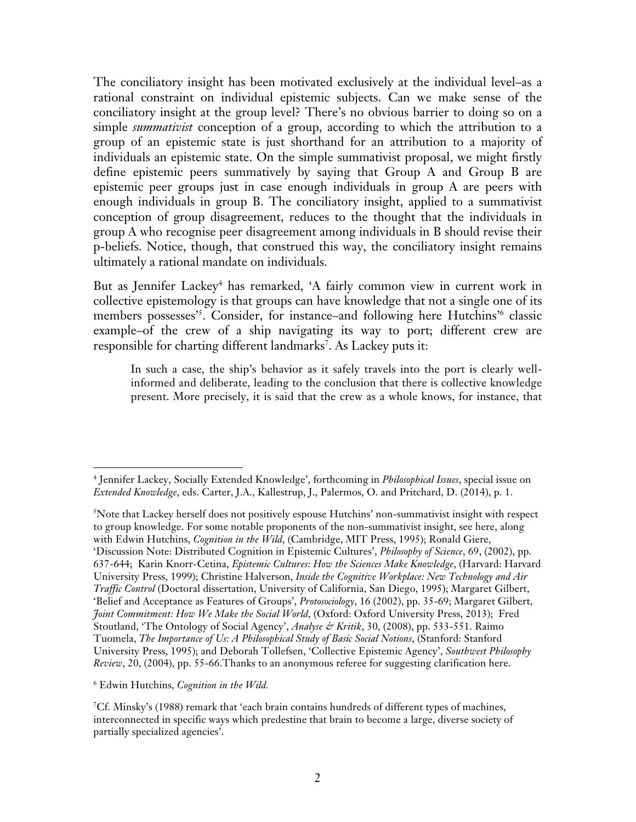The conciliatory insight has been motivated exclusively at the individual level–as a rational constraint on individual epistemic subjects. Can we make sense of the conciliatory insight at the group level? There's no obvious barrier to doing so on a simple *summativist* conception of a group, according to which the attribution to a group of an epistemic state is just shorthand for an attribution to a majority of individuals an epistemic state. On the simple summativist proposal, we might firstly define epistemic peers summatively by saying that Group A and Group B are epistemic peer groups just in case enough individuals in group A are peers with enough individuals in group B. The conciliatory insight, applied to a summativist conception of group disagreement, reduces to the thought that the individuals in group A who recognise peer disagreement among individuals in B should revise their p-beliefs. Notice, though, that construed this way, the conciliatory insight remains ultimately a rational mandate on individuals.

But as Jennifer Lackey<sup>4</sup> has remarked, 'A fairly common view in current work in collective epistemology is that groups can have knowledge that not a single one of its members possesses<sup>35</sup>. Consider, for instance–and following here Hutchins<sup>36</sup> classic example–of the crew of a ship navigating its way to port; different crew are responsible for charting different landmarks<sup>7</sup>. As Lackey puts it:

In such a case, the ship's behavior as it safely travels into the port is clearly wellinformed and deliberate, leading to the conclusion that there is collective knowledge present. More precisely, it is said that the crew as a whole knows, for instance, that

<sup>6</sup> Edwin Hutchins, *Cognition in the Wild.*

<sup>4</sup> Jennifer Lackey, Socially Extended Knowledge', forthcoming in *Philosophical Issues*, special issue on *Extended Knowledge*, eds. Carter, J.A., Kallestrup, J., Palermos, O. and Pritchard, D. (2014), p. 1.

<sup>5</sup> Note that Lackey herself does not positively espouse Hutchins' non-summativist insight with respect to group knowledge. For some notable proponents of the non-summativist insight, see here, along with Edwin Hutchins, *Cognition in the Wild*, (Cambridge, MIT Press, 1995); Ronald Giere, 'Discussion Note: Distributed Cognition in Epistemic Cultures', *Philosophy of Science*, 69, (2002), pp. 637-644; Karin Knorr-Cetina, *Epistemic Cultures: How the Sciences Make Knowledge*, (Harvard: Harvard University Press, 1999); Christine Halverson, *Inside the Cognitive Workplace: New Technology and Air Traffic Control* (Doctoral dissertation, University of California, San Diego, 1995); Margaret Gilbert, 'Belief and Acceptance as Features of Groups', *Protosociology*, 16 (2002), pp. 35-69; Margaret Gilbert, *Joint Commitment: How We Make the Social World*, (Oxford: Oxford University Press, 2013); Fred Stoutland, 'The Ontology of Social Agency', *Analyse & Kritik*, 30, (2008), pp. 533-551. Raimo Tuomela, *The Importance of Us: A Philosophical Study of Basic Social Notions*, (Stanford: Stanford University Press, 1995); and Deborah Tollefsen, 'Collective Epistemic Agency', *Southwest Philosophy Review*, 20, (2004), pp. 55-66.Thanks to an anonymous referee for suggesting clarification here.

<sup>7</sup> Cf. Minsky's (1988) remark that 'each brain contains hundreds of different types of machines, interconnected in specific ways which predestine that brain to become a large, diverse society of partially specialized agencies'.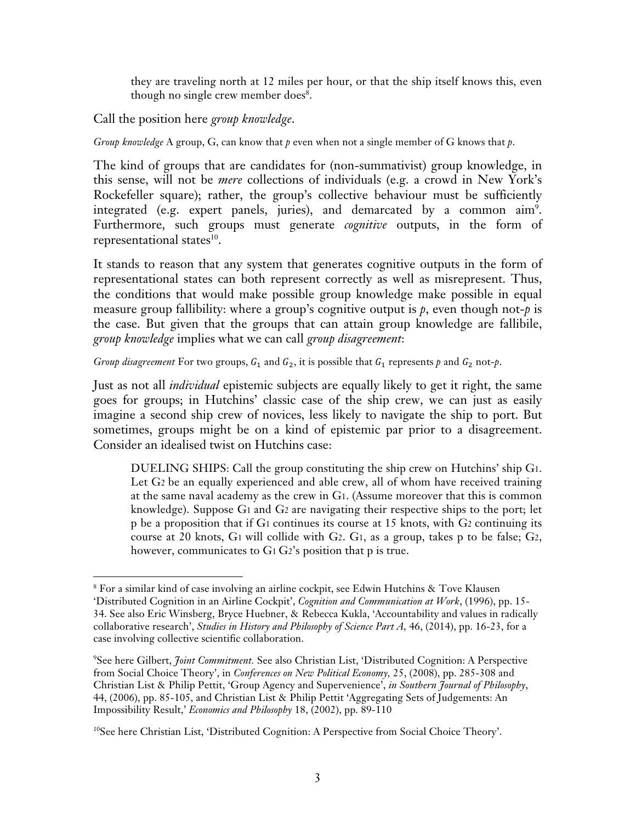they are traveling north at 12 miles per hour, or that the ship itself knows this, even though no single crew member does<sup>8</sup>.

Call the position here *group knowledge*.

 

*Group knowledge* A group, G, can know that *p* even when not a single member of G knows that *p*.

The kind of groups that are candidates for (non-summativist) group knowledge, in this sense, will not be *mere* collections of individuals (e.g. a crowd in New York's Rockefeller square); rather, the group's collective behaviour must be sufficiently integrated (e.g. expert panels, juries), and demarcated by a common aim<sup>9</sup>. Furthermore, such groups must generate *cognitive* outputs, in the form of representational states<sup>10</sup>.

It stands to reason that any system that generates cognitive outputs in the form of representational states can both represent correctly as well as misrepresent. Thus, the conditions that would make possible group knowledge make possible in equal measure group fallibility: where a group's cognitive output is *p*, even though not-*p* is the case. But given that the groups that can attain group knowledge are fallibile, *group knowledge* implies what we can call *group disagreement*:

*Group disagreement* For two groups,  $G_1$  and  $G_2$ , it is possible that  $G_1$  represents  $p$  and  $G_2$  not- $p$ .

Just as not all *individual* epistemic subjects are equally likely to get it right, the same goes for groups; in Hutchins' classic case of the ship crew, we can just as easily imagine a second ship crew of novices, less likely to navigate the ship to port. But sometimes, groups might be on a kind of epistemic par prior to a disagreement. Consider an idealised twist on Hutchins case:

DUELING SHIPS: Call the group constituting the ship crew on Hutchins' ship G1. Let G2 be an equally experienced and able crew, all of whom have received training at the same naval academy as the crew in G1. (Assume moreover that this is common knowledge). Suppose G1 and G2 are navigating their respective ships to the port; let p be a proposition that if  $G_1$  continues its course at 15 knots, with  $G_2$  continuing its course at 20 knots, G1 will collide with G2. G1, as a group, takes p to be false; G2, however, communicates to G1 G2's position that p is true.

10See here Christian List, 'Distributed Cognition: A Perspective from Social Choice Theory'.

<sup>8</sup> For a similar kind of case involving an airline cockpit, see Edwin Hutchins & Tove Klausen 'Distributed Cognition in an Airline Cockpit', *Cognition and Communication at Work*, (1996), pp. 15- 34. See also Eric Winsberg, Bryce Huebner, & Rebecca Kukla, 'Accountability and values in radically collaborative research', *Studies in History and Philosophy of Science Part A,* 46, (2014), pp. 16-23, for a case involving collective scientific collaboration.

<sup>9</sup> See here Gilbert, *Joint Commitment.* See also Christian List, 'Distributed Cognition: A Perspective from Social Choice Theory', in *Conferences on New Political Economy,* 25, (2008), pp. 285-308 and Christian List & Philip Pettit, 'Group Agency and Supervenience', *in Southern Journal of Philosophy*, 44, (2006), pp. 85-105, and Christian List & Philip Pettit 'Aggregating Sets of Judgements: An Impossibility Result,' *Economics and Philosophy* 18, (2002), pp. 89-110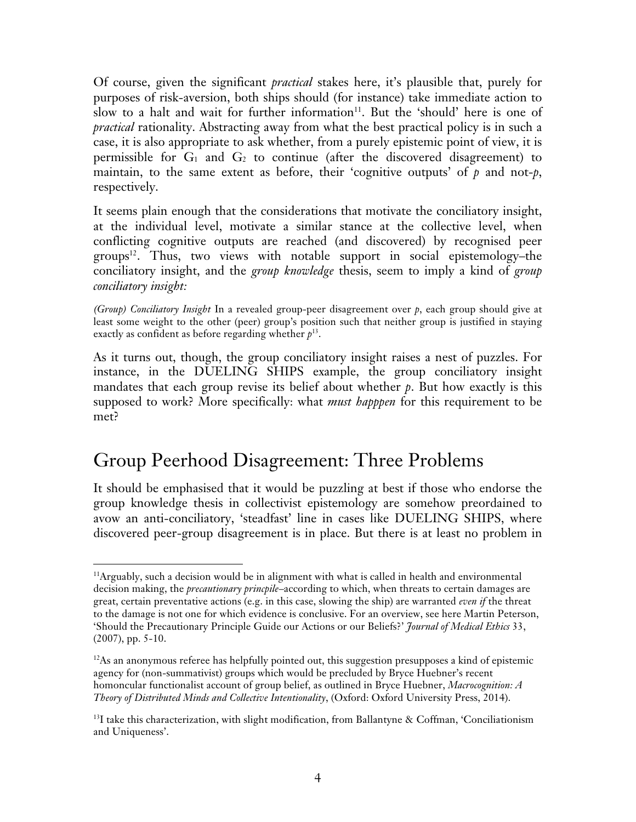Of course, given the significant *practical* stakes here, it's plausible that, purely for purposes of risk-aversion, both ships should (for instance) take immediate action to slow to a halt and wait for further information<sup>11</sup>. But the 'should' here is one of *practical* rationality. Abstracting away from what the best practical policy is in such a case, it is also appropriate to ask whether, from a purely epistemic point of view, it is permissible for  $G_1$  and  $G_2$  to continue (after the discovered disagreement) to maintain, to the same extent as before, their 'cognitive outputs' of *p* and not-*p*, respectively.

It seems plain enough that the considerations that motivate the conciliatory insight, at the individual level, motivate a similar stance at the collective level, when conflicting cognitive outputs are reached (and discovered) by recognised peer groups<sup>12</sup>. Thus, two views with notable support in social epistemology–the conciliatory insight, and the *group knowledge* thesis, seem to imply a kind of *group conciliatory insight:*

*(Group) Conciliatory Insight* In a revealed group-peer disagreement over *p*, each group should give at least some weight to the other (peer) group's position such that neither group is justified in staying exactly as confident as before regarding whether  $p^{13}$ .

As it turns out, though, the group conciliatory insight raises a nest of puzzles. For instance, in the DUELING SHIPS example, the group conciliatory insight mandates that each group revise its belief about whether *p*. But how exactly is this supposed to work? More specifically: what *must happpen* for this requirement to be met?

# Group Peerhood Disagreement: Three Problems

It should be emphasised that it would be puzzling at best if those who endorse the group knowledge thesis in collectivist epistemology are somehow preordained to avow an anti-conciliatory, 'steadfast' line in cases like DUELING SHIPS, where discovered peer-group disagreement is in place. But there is at least no problem in

 <sup>11</sup>Arguably, such a decision would be in alignment with what is called in health and environmental decision making, the *precautionary princpile*–according to which, when threats to certain damages are great, certain preventative actions (e.g. in this case, slowing the ship) are warranted *even if* the threat to the damage is not one for which evidence is conclusive. For an overview, see here Martin Peterson, 'Should the Precautionary Principle Guide our Actions or our Beliefs?' *Journal of Medical Ethics* 33, (2007), pp. 5-10.

 $12$ As an anonymous referee has helpfully pointed out, this suggestion presupposes a kind of epistemic agency for (non-summativist) groups which would be precluded by Bryce Huebner's recent homoncular functionalist account of group belief, as outlined in Bryce Huebner, *Macrocognition: A Theory of Distributed Minds and Collective Intentionality*, (Oxford: Oxford University Press, 2014).

 $13I$  take this characterization, with slight modification, from Ballantyne & Coffman, 'Conciliationism and Uniqueness'.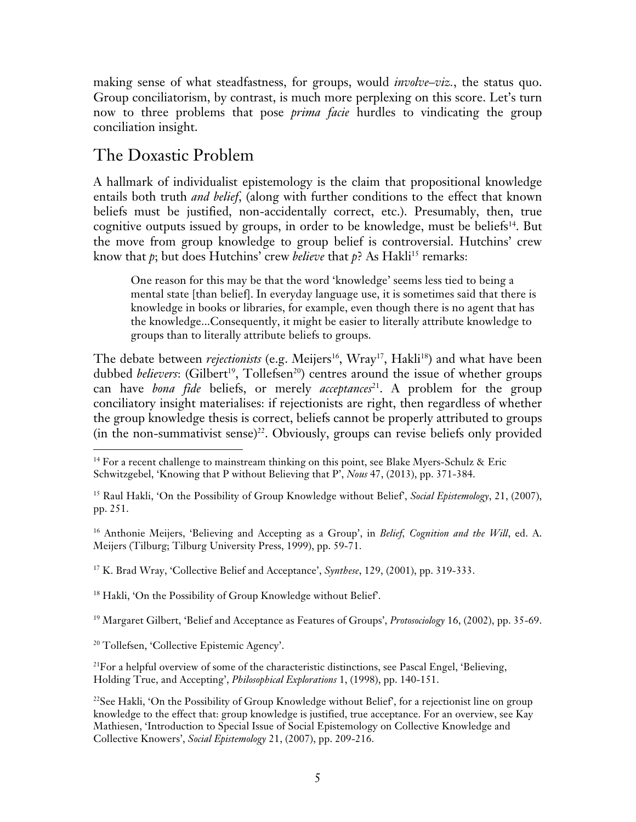making sense of what steadfastness, for groups, would *involve*–*viz.*, the status quo. Group conciliatorism, by contrast, is much more perplexing on this score. Let's turn now to three problems that pose *prima facie* hurdles to vindicating the group conciliation insight.

#### The Doxastic Problem

A hallmark of individualist epistemology is the claim that propositional knowledge entails both truth *and belief*, (along with further conditions to the effect that known beliefs must be justified, non-accidentally correct, etc.). Presumably, then, true cognitive outputs issued by groups, in order to be knowledge, must be beliefs $14$ . But the move from group knowledge to group belief is controversial. Hutchins' crew know that *p*; but does Hutchins' crew *believe* that *p*? As Hakli<sup>15</sup> remarks:

One reason for this may be that the word 'knowledge' seems less tied to being a mental state [than belief]. In everyday language use, it is sometimes said that there is knowledge in books or libraries, for example, even though there is no agent that has the knowledge...Consequently, it might be easier to literally attribute knowledge to groups than to literally attribute beliefs to groups.

The debate between *rejectionists* (e.g. Meijers<sup>16</sup>, Wray<sup>17</sup>, Hakli<sup>18</sup>) and what have been dubbed *believers*: (Gilbert<sup>19</sup>, Tollefsen<sup>20</sup>) centres around the issue of whether groups can have *bona fide* beliefs, or merely *acceptances*<sup>21</sup>. A problem for the group conciliatory insight materialises: if rejectionists are right, then regardless of whether the group knowledge thesis is correct, beliefs cannot be properly attributed to groups (in the non-summativist sense)<sup>22</sup>. Obviously, groups can revise beliefs only provided

<sup>17</sup> K. Brad Wray, 'Collective Belief and Acceptance', *Synthese*, 129, (2001), pp. 319-333.

<sup>18</sup> Hakli, 'On the Possibility of Group Knowledge without Belief'.

<sup>19</sup> Margaret Gilbert, 'Belief and Acceptance as Features of Groups', *Protosociology* 16, (2002), pp. 35-69.

<sup>20</sup> Tollefsen, 'Collective Epistemic Agency'.

 

<sup>21</sup>For a helpful overview of some of the characteristic distinctions, see Pascal Engel, 'Believing, Holding True, and Accepting', *Philosophical Explorations* 1, (1998), pp. 140-151.

<sup>22</sup>See Hakli, 'On the Possibility of Group Knowledge without Belief', for a rejectionist line on group knowledge to the effect that: group knowledge is justified, true acceptance. For an overview, see Kay Mathiesen, 'Introduction to Special Issue of Social Epistemology on Collective Knowledge and Collective Knowers', *Social Epistemology* 21, (2007), pp. 209-216.

<sup>&</sup>lt;sup>14</sup> For a recent challenge to mainstream thinking on this point, see Blake Myers-Schulz & Eric Schwitzgebel, 'Knowing that P without Believing that P', *Nous* 47, (2013), pp. 371-384.

<sup>15</sup> Raul Hakli, 'On the Possibility of Group Knowledge without Belief', *Social Epistemology*, 21, (2007), pp. 251.

<sup>16</sup> Anthonie Meijers, 'Believing and Accepting as a Group', in *Belief, Cognition and the Will*, ed. A. Meijers (Tilburg; Tilburg University Press, 1999), pp. 59-71.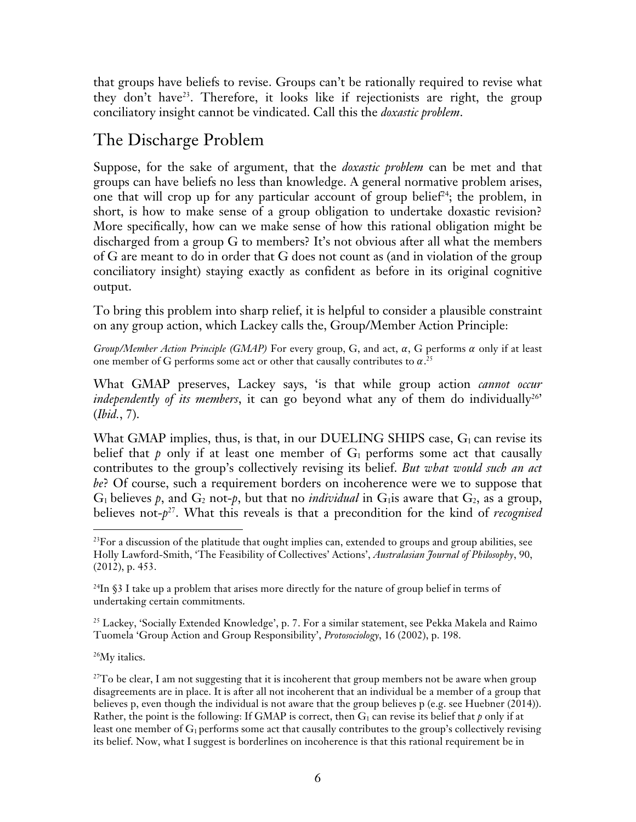that groups have beliefs to revise. Groups can't be rationally required to revise what they don't have<sup>23</sup>. Therefore, it looks like if rejectionists are right, the group conciliatory insight cannot be vindicated. Call this the *doxastic problem*.

## The Discharge Problem

Suppose, for the sake of argument, that the *doxastic problem* can be met and that groups can have beliefs no less than knowledge. A general normative problem arises, one that will crop up for any particular account of group belief<sup>24</sup>; the problem, in short, is how to make sense of a group obligation to undertake doxastic revision? More specifically, how can we make sense of how this rational obligation might be discharged from a group G to members? It's not obvious after all what the members of G are meant to do in order that G does not count as (and in violation of the group conciliatory insight) staying exactly as confident as before in its original cognitive output.

To bring this problem into sharp relief, it is helpful to consider a plausible constraint on any group action, which Lackey calls the, Group/Member Action Principle:

*Group/Member Action Principle (GMAP)* For every group, G, and act,  $\alpha$ , G performs  $\alpha$  only if at least one member of G performs some act or other that causally contributes to  $\alpha$ .<sup>25</sup>

What GMAP preserves, Lackey says, 'is that while group action *cannot occur independently of its members*, it can go beyond what any of them do individually<sup>26</sup> (*Ibid.*, 7).

What GMAP implies, thus, is that, in our DUELING SHIPS case,  $G_1$  can revise its belief that  $p$  only if at least one member of  $G_1$  performs some act that causally contributes to the group's collectively revising its belief. *But what would such an act be*? Of course, such a requirement borders on incoherence were we to suppose that  $G_1$  believes p, and  $G_2$  not-p, but that no *individual* in  $G_1$  is aware that  $G_2$ , as a group, believes not-*p*27. What this reveals is that a precondition for the kind of *recognised*

 $^{24}$ In §3 I take up a problem that arises more directly for the nature of group belief in terms of undertaking certain commitments.

<sup>25</sup> Lackey, 'Socially Extended Knowledge', p. 7. For a similar statement, see Pekka Makela and Raimo Tuomela 'Group Action and Group Responsibility', *Protosociology*, 16 (2002), p. 198.

<sup>26</sup>My italics.

 

 $^{27}$ To be clear, I am not suggesting that it is incoherent that group members not be aware when group disagreements are in place. It is after all not incoherent that an individual be a member of a group that believes p, even though the individual is not aware that the group believes p (e.g. see Huebner (2014)). Rather, the point is the following: If GMAP is correct, then  $G_1$  can revise its belief that  $p$  only if at least one member of  $G_1$  performs some act that causally contributes to the group's collectively revising its belief. Now, what I suggest is borderlines on incoherence is that this rational requirement be in

 $^{23}$ For a discussion of the platitude that ought implies can, extended to groups and group abilities, see Holly Lawford-Smith, 'The Feasibility of Collectives' Actions', *Australasian Journal of Philosophy*, 90, (2012), p. 453.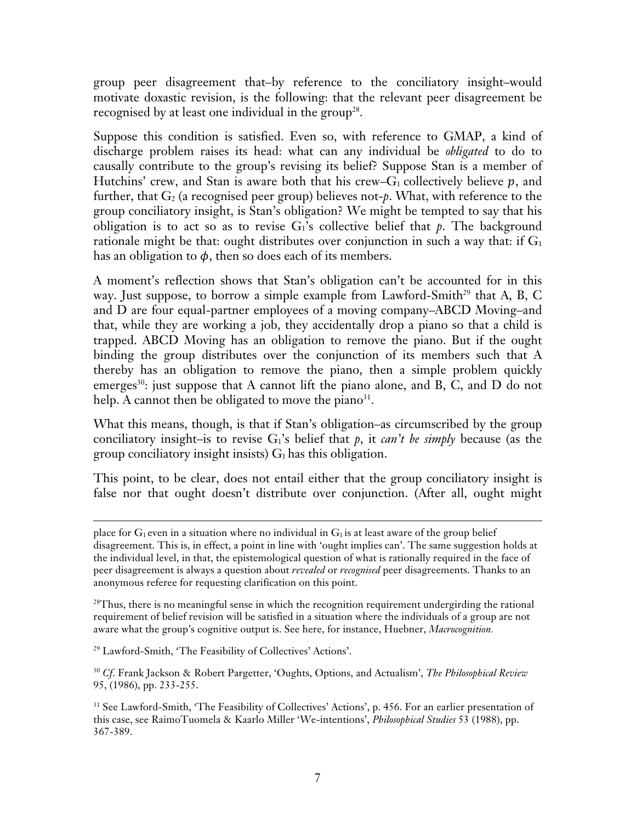group peer disagreement that–by reference to the conciliatory insight–would motivate doxastic revision, is the following: that the relevant peer disagreement be recognised by at least one individual in the group<sup>28</sup>.

Suppose this condition is satisfied. Even so, with reference to GMAP, a kind of discharge problem raises its head: what can any individual be *obligated* to do to causally contribute to the group's revising its belief? Suppose Stan is a member of Hutchins' crew, and Stan is aware both that his crew– $G_1$  collectively believe  $p$ , and further, that  $G_2$  (a recognised peer group) believes not- $p$ . What, with reference to the group conciliatory insight, is Stan's obligation? We might be tempted to say that his obligation is to act so as to revise  $G_1$ 's collective belief that  $p$ . The background rationale might be that: ought distributes over conjunction in such a way that: if  $G_1$ has an obligation to  $\phi$ , then so does each of its members.

A moment's reflection shows that Stan's obligation can't be accounted for in this way. Just suppose, to borrow a simple example from Lawford-Smith<sup>29</sup> that A, B, C and D are four equal-partner employees of a moving company–ABCD Moving–and that, while they are working a job, they accidentally drop a piano so that a child is trapped. ABCD Moving has an obligation to remove the piano. But if the ought binding the group distributes over the conjunction of its members such that A thereby has an obligation to remove the piano, then a simple problem quickly emerges<sup>30</sup>: just suppose that A cannot lift the piano alone, and B, C, and D do not help. A cannot then be obligated to move the piano<sup>31</sup>.

What this means, though, is that if Stan's obligation–as circumscribed by the group conciliatory insight–is to revise  $G_1$ 's belief that p, it *can't be simply* because (as the group conciliatory insight insists)  $G_1$  has this obligation.

This point, to be clear, does not entail either that the group conciliatory insight is false nor that ought doesn't distribute over conjunction. (After all, ought might

<u> 1989 - Andrea Santa Andrea Andrea Andrea Andrea Andrea Andrea Andrea Andrea Andrea Andrea Andrea Andrea Andr</u>

 $28$ Thus, there is no meaningful sense in which the recognition requirement undergirding the rational requirement of belief revision will be satisfied in a situation where the individuals of a group are not aware what the group's cognitive output is. See here, for instance, Huebner, *Macrocognition.*

<sup>29</sup> Lawford-Smith, 'The Feasibility of Collectives' Actions'.

<sup>30</sup> *Cf*. Frank Jackson & Robert Pargetter, 'Oughts, Options, and Actualism', *The Philosophical Review* 95, (1986), pp. 233-255.

place for  $G_1$  even in a situation where no individual in  $G_1$  is at least aware of the group belief disagreement. This is, in effect, a point in line with 'ought implies can'. The same suggestion holds at the individual level, in that, the epistemological question of what is rationally required in the face of peer disagreement is always a question about *revealed* or *recognised* peer disagreements. Thanks to an anonymous referee for requesting clarification on this point.

<sup>31</sup> See Lawford-Smith, 'The Feasibility of Collectives' Actions', p. 456. For an earlier presentation of this case, see RaimoTuomela & Kaarlo Miller 'We-intentions', *Philosophical Studies* 53 (1988), pp. 367-389.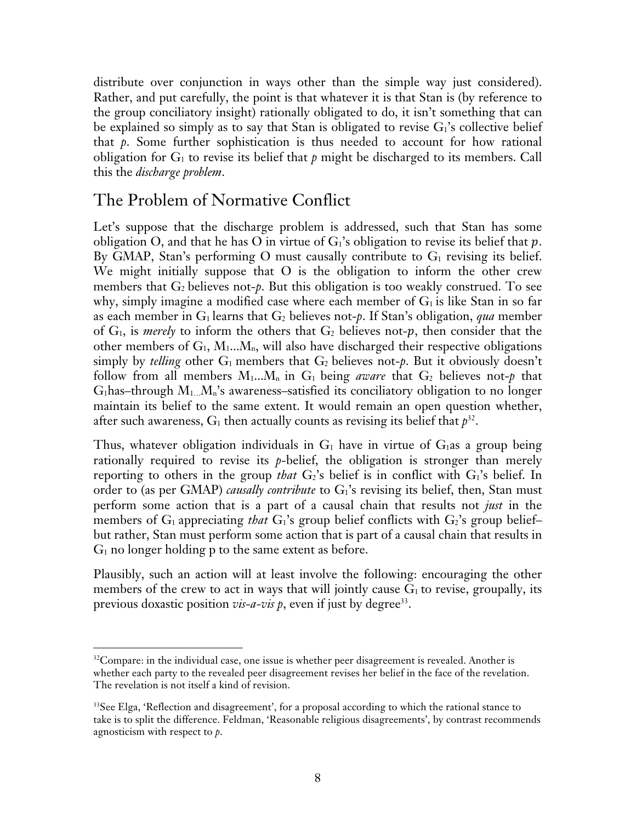distribute over conjunction in ways other than the simple way just considered). Rather, and put carefully, the point is that whatever it is that Stan is (by reference to the group conciliatory insight) rationally obligated to do, it isn't something that can be explained so simply as to say that Stan is obligated to revise  $G_1$ 's collective belief that *p*. Some further sophistication is thus needed to account for how rational obligation for  $G_1$  to revise its belief that  $p$  might be discharged to its members. Call this the *discharge problem*.

#### The Problem of Normative Conflict

 

Let's suppose that the discharge problem is addressed, such that Stan has some obligation O, and that he has O in virtue of  $G_1$ 's obligation to revise its belief that p. By GMAP, Stan's performing O must causally contribute to  $G_1$  revising its belief. We might initially suppose that O is the obligation to inform the other crew members that  $G_2$  believes not- $p$ . But this obligation is too weakly construed. To see why, simply imagine a modified case where each member of  $G_1$  is like Stan in so far as each member in  $G_1$  learns that  $G_2$  believes not-p. If Stan's obligation, *qua* member of  $G_1$ , is *merely* to inform the others that  $G_2$  believes not-p, then consider that the other members of  $G_1$ ,  $M_1...M_n$ , will also have discharged their respective obligations simply by *telling* other  $G_1$  members that  $G_2$  believes not- $p$ . But it obviously doesn't follow from all members  $M_1...M_n$  in  $G_1$  being *aware* that  $G_2$  believes not-*p* that  $G_1$ has–through  $M_1...M_n$ 's awareness–satisfied its conciliatory obligation to no longer maintain its belief to the same extent. It would remain an open question whether, after such awareness,  $G_1$  then actually counts as revising its belief that  $p^{32}$ .

Thus, whatever obligation individuals in  $G_1$  have in virtue of  $G_1$ as a group being rationally required to revise its  $p$ -belief, the obligation is stronger than merely reporting to others in the group *that*  $G_2$ 's belief is in conflict with  $G_1$ 's belief. In order to (as per GMAP) *causally contribute* to G<sub>1</sub>'s revising its belief, then, Stan must perform some action that is a part of a causal chain that results not *just* in the members of  $G_1$  appreciating *that*  $G_1$ 's group belief conflicts with  $G_2$ 's group beliefbut rather, Stan must perform some action that is part of a causal chain that results in  $G_1$  no longer holding p to the same extent as before.

Plausibly, such an action will at least involve the following: encouraging the other members of the crew to act in ways that will jointly cause  $G_1$  to revise, groupally, its previous doxastic position  $\vec{v}$  *vis-a-vis*  $\vec{p}$ , even if just by degree<sup>33</sup>.

 $32$ Compare: in the individual case, one issue is whether peer disagreement is revealed. Another is whether each party to the revealed peer disagreement revises her belief in the face of the revelation. The revelation is not itself a kind of revision.

<sup>&</sup>lt;sup>33</sup>See Elga, 'Reflection and disagreement', for a proposal according to which the rational stance to take is to split the difference. Feldman, 'Reasonable religious disagreements', by contrast recommends agnosticism with respect to *p*.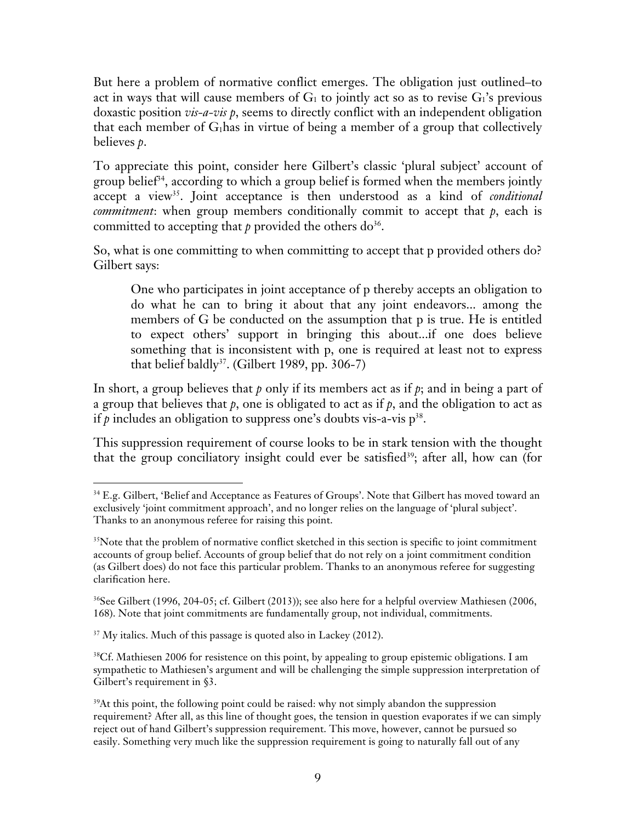But here a problem of normative conflict emerges. The obligation just outlined–to act in ways that will cause members of  $G_1$  to jointly act so as to revise  $G_1$ 's previous doxastic position *vis-a-vis p*, seems to directly conflict with an independent obligation that each member of  $G_1$ has in virtue of being a member of a group that collectively believes *p*.

To appreciate this point, consider here Gilbert's classic 'plural subject' account of group belief<sup>34</sup>, according to which a group belief is formed when the members jointly accept a view<sup>35</sup>. Joint acceptance is then understood as a kind of *conditional commitment*: when group members conditionally commit to accept that *p*, each is committed to accepting that  $p$  provided the others  $do<sup>36</sup>$ .

So, what is one committing to when committing to accept that p provided others do? Gilbert says:

One who participates in joint acceptance of p thereby accepts an obligation to do what he can to bring it about that any joint endeavors... among the members of G be conducted on the assumption that p is true. He is entitled to expect others' support in bringing this about...if one does believe something that is inconsistent with p, one is required at least not to express that belief baldly<sup>37</sup>. (Gilbert 1989, pp. 306-7)

In short, a group believes that *p* only if its members act as if *p*; and in being a part of a group that believes that *p*, one is obligated to act as if *p*, and the obligation to act as if  $p$  includes an obligation to suppress one's doubts vis-a-vis  $p^{38}$ .

This suppression requirement of course looks to be in stark tension with the thought that the group conciliatory insight could ever be satisfied<sup>39</sup>; after all, how can (for

<sup>&</sup>lt;sup>34</sup> E.g. Gilbert, 'Belief and Acceptance as Features of Groups'. Note that Gilbert has moved toward an exclusively 'joint commitment approach', and no longer relies on the language of 'plural subject'. Thanks to an anonymous referee for raising this point.

<sup>&</sup>lt;sup>35</sup>Note that the problem of normative conflict sketched in this section is specific to joint commitment accounts of group belief. Accounts of group belief that do not rely on a joint commitment condition (as Gilbert does) do not face this particular problem. Thanks to an anonymous referee for suggesting clarification here.

<sup>36</sup>See Gilbert (1996, 204-05; cf. Gilbert (2013)); see also here for a helpful overview Mathiesen (2006, 168). Note that joint commitments are fundamentally group, not individual, commitments.

 $37$  My italics. Much of this passage is quoted also in Lackey (2012).

<sup>&</sup>lt;sup>38</sup>Cf. Mathiesen 2006 for resistence on this point, by appealing to group epistemic obligations. I am sympathetic to Mathiesen's argument and will be challenging the simple suppression interpretation of Gilbert's requirement in §3.

 $39$ At this point, the following point could be raised: why not simply abandon the suppression requirement? After all, as this line of thought goes, the tension in question evaporates if we can simply reject out of hand Gilbert's suppression requirement. This move, however, cannot be pursued so easily. Something very much like the suppression requirement is going to naturally fall out of any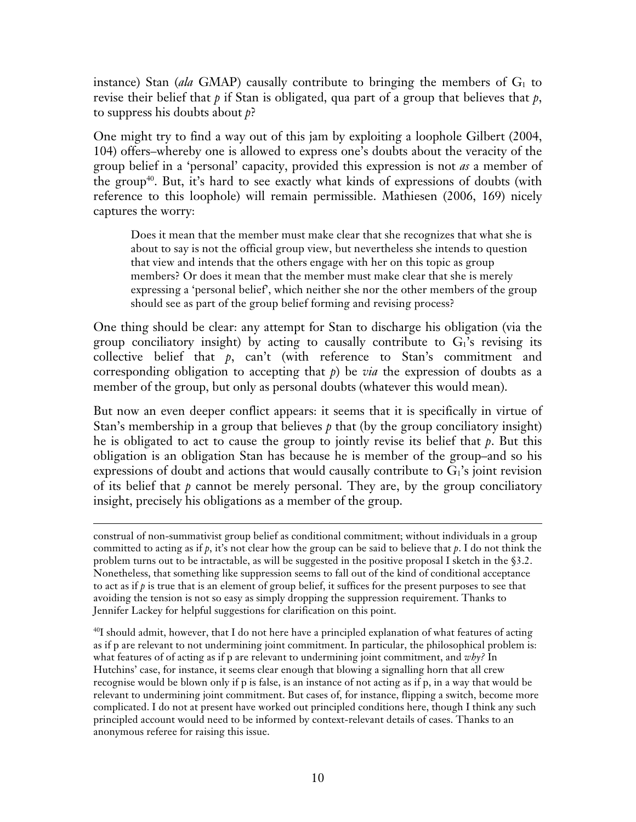instance) Stan *(ala GMAP)* causally contribute to bringing the members of  $G_1$  to revise their belief that *p* if Stan is obligated, qua part of a group that believes that *p*, to suppress his doubts about *p*?

One might try to find a way out of this jam by exploiting a loophole Gilbert (2004, 104) offers–whereby one is allowed to express one's doubts about the veracity of the group belief in a 'personal' capacity, provided this expression is not *as* a member of the group<sup>40</sup>. But, it's hard to see exactly what kinds of expressions of doubts (with reference to this loophole) will remain permissible. Mathiesen (2006, 169) nicely captures the worry:

Does it mean that the member must make clear that she recognizes that what she is about to say is not the official group view, but nevertheless she intends to question that view and intends that the others engage with her on this topic as group members? Or does it mean that the member must make clear that she is merely expressing a 'personal belief', which neither she nor the other members of the group should see as part of the group belief forming and revising process?

One thing should be clear: any attempt for Stan to discharge his obligation (via the group conciliatory insight) by acting to causally contribute to  $G_1$ 's revising its collective belief that *p*, can't (with reference to Stan's commitment and corresponding obligation to accepting that *p*) be *via* the expression of doubts as a member of the group, but only as personal doubts (whatever this would mean).

But now an even deeper conflict appears: it seems that it is specifically in virtue of Stan's membership in a group that believes p that (by the group conciliatory insight) he is obligated to act to cause the group to jointly revise its belief that *p*. But this obligation is an obligation Stan has because he is member of the group–and so his expressions of doubt and actions that would causally contribute to  $G_1$ 's joint revision of its belief that  $p$  cannot be merely personal. They are, by the group conciliatory insight, precisely his obligations as a member of the group.

construal of non-summativist group belief as conditional commitment; without individuals in a group committed to acting as if  $p$ , it's not clear how the group can be said to believe that  $p$ . I do not think the problem turns out to be intractable, as will be suggested in the positive proposal I sketch in the §3.2. Nonetheless, that something like suppression seems to fall out of the kind of conditional acceptance to act as if  $p$  is true that is an element of group belief, it suffices for the present purposes to see that avoiding the tension is not so easy as simply dropping the suppression requirement. Thanks to Jennifer Lackey for helpful suggestions for clarification on this point.

<u> 1989 - Andrea San Andrew Maria (h. 1989).</u><br>1900 - Andrew Maria (h. 1980).

 $40I$  should admit, however, that I do not here have a principled explanation of what features of acting as if p are relevant to not undermining joint commitment. In particular, the philosophical problem is: what features of of acting as if p are relevant to undermining joint commitment, and *why?* In Hutchins' case, for instance, it seems clear enough that blowing a signalling horn that all crew recognise would be blown only if p is false, is an instance of not acting as if p, in a way that would be relevant to undermining joint commitment. But cases of, for instance, flipping a switch, become more complicated. I do not at present have worked out principled conditions here, though I think any such principled account would need to be informed by context-relevant details of cases. Thanks to an anonymous referee for raising this issue.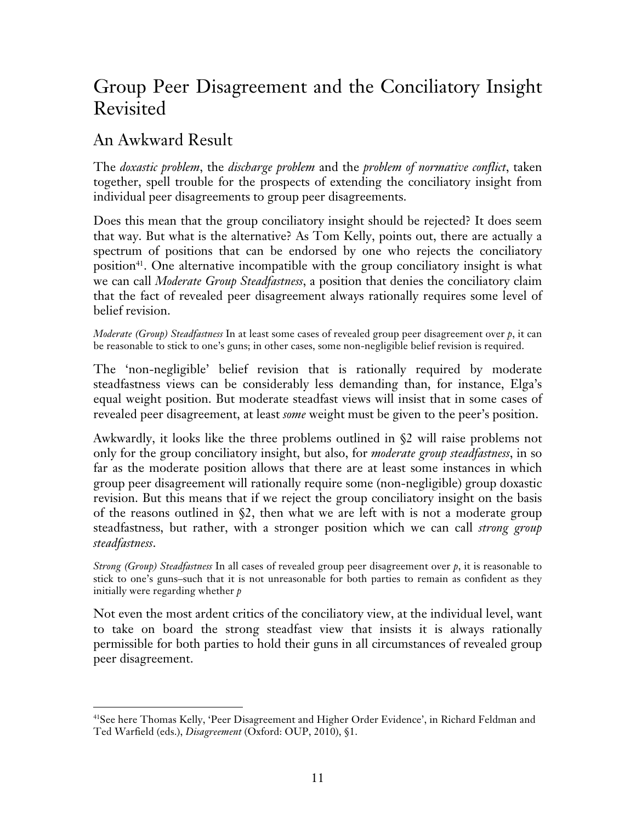# Group Peer Disagreement and the Conciliatory Insight Revisited

### An Awkward Result

The *doxastic problem*, the *discharge problem* and the *problem of normative conflict*, taken together, spell trouble for the prospects of extending the conciliatory insight from individual peer disagreements to group peer disagreements.

Does this mean that the group conciliatory insight should be rejected? It does seem that way. But what is the alternative? As Tom Kelly, points out, there are actually a spectrum of positions that can be endorsed by one who rejects the conciliatory position<sup>41</sup>. One alternative incompatible with the group conciliatory insight is what we can call *Moderate Group Steadfastness*, a position that denies the conciliatory claim that the fact of revealed peer disagreement always rationally requires some level of belief revision.

*Moderate (Group) Steadfastness* In at least some cases of revealed group peer disagreement over *p*, it can be reasonable to stick to one's guns; in other cases, some non-negligible belief revision is required.

The 'non-negligible' belief revision that is rationally required by moderate steadfastness views can be considerably less demanding than, for instance, Elga's equal weight position. But moderate steadfast views will insist that in some cases of revealed peer disagreement, at least *some* weight must be given to the peer's position.

Awkwardly, it looks like the three problems outlined in §2 will raise problems not only for the group conciliatory insight, but also, for *moderate group steadfastness*, in so far as the moderate position allows that there are at least some instances in which group peer disagreement will rationally require some (non-negligible) group doxastic revision. But this means that if we reject the group conciliatory insight on the basis of the reasons outlined in §2, then what we are left with is not a moderate group steadfastness, but rather, with a stronger position which we can call *strong group steadfastness*.

*Strong (Group) Steadfastness* In all cases of revealed group peer disagreement over *p*, it is reasonable to stick to one's guns–such that it is not unreasonable for both parties to remain as confident as they initially were regarding whether *p*

Not even the most ardent critics of the conciliatory view, at the individual level, want to take on board the strong steadfast view that insists it is always rationally permissible for both parties to hold their guns in all circumstances of revealed group peer disagreement.

 41See here Thomas Kelly, 'Peer Disagreement and Higher Order Evidence', in Richard Feldman and Ted Warfield (eds.), *Disagreement* (Oxford: OUP, 2010), §1.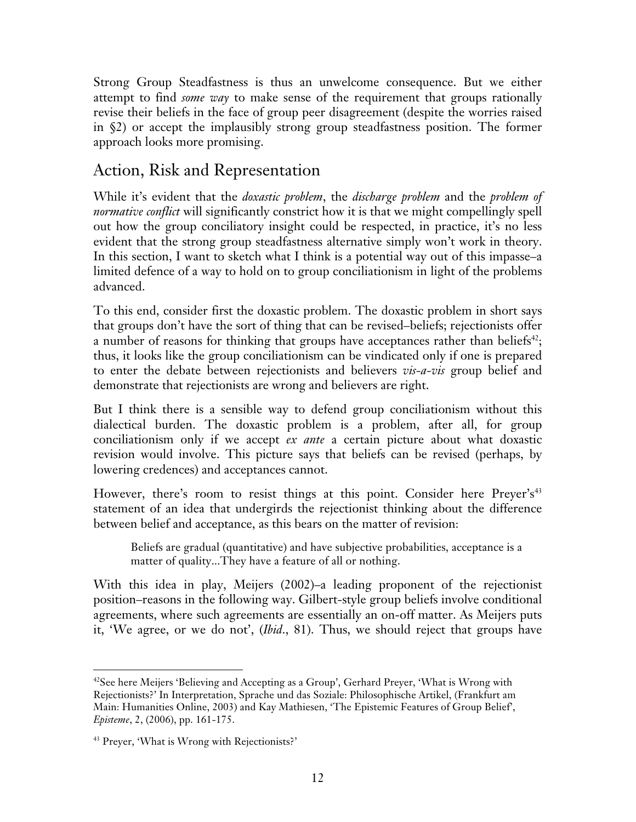Strong Group Steadfastness is thus an unwelcome consequence. But we either attempt to find *some way* to make sense of the requirement that groups rationally revise their beliefs in the face of group peer disagreement (despite the worries raised in §2) or accept the implausibly strong group steadfastness position. The former approach looks more promising.

### Action, Risk and Representation

While it's evident that the *doxastic problem*, the *discharge problem* and the *problem of normative conflict* will significantly constrict how it is that we might compellingly spell out how the group conciliatory insight could be respected, in practice, it's no less evident that the strong group steadfastness alternative simply won't work in theory. In this section, I want to sketch what I think is a potential way out of this impasse–a limited defence of a way to hold on to group conciliationism in light of the problems advanced.

To this end, consider first the doxastic problem. The doxastic problem in short says that groups don't have the sort of thing that can be revised–beliefs; rejectionists offer a number of reasons for thinking that groups have acceptances rather than beliefs<sup>42</sup>; thus, it looks like the group conciliationism can be vindicated only if one is prepared to enter the debate between rejectionists and believers *vis-a-vis* group belief and demonstrate that rejectionists are wrong and believers are right.

But I think there is a sensible way to defend group conciliationism without this dialectical burden. The doxastic problem is a problem, after all, for group conciliationism only if we accept *ex ante* a certain picture about what doxastic revision would involve. This picture says that beliefs can be revised (perhaps, by lowering credences) and acceptances cannot.

However, there's room to resist things at this point. Consider here  $Preyer's<sup>43</sup>$ statement of an idea that undergirds the rejectionist thinking about the difference between belief and acceptance, as this bears on the matter of revision:

Beliefs are gradual (quantitative) and have subjective probabilities, acceptance is a matter of quality...They have a feature of all or nothing.

With this idea in play, Meijers (2002)–a leading proponent of the rejectionist position–reasons in the following way. Gilbert-style group beliefs involve conditional agreements, where such agreements are essentially an on-off matter. As Meijers puts it, 'We agree, or we do not', (*Ibid*., 81). Thus, we should reject that groups have

<sup>&</sup>lt;sup>42</sup>See here Meijers 'Believing and Accepting as a Group', Gerhard Preyer, 'What is Wrong with Rejectionists?' In Interpretation, Sprache und das Soziale: Philosophische Artikel, (Frankfurt am Main: Humanities Online, 2003) and Kay Mathiesen, 'The Epistemic Features of Group Belief', *Episteme*, 2, (2006), pp. 161-175.

<sup>43</sup> Preyer, 'What is Wrong with Rejectionists?'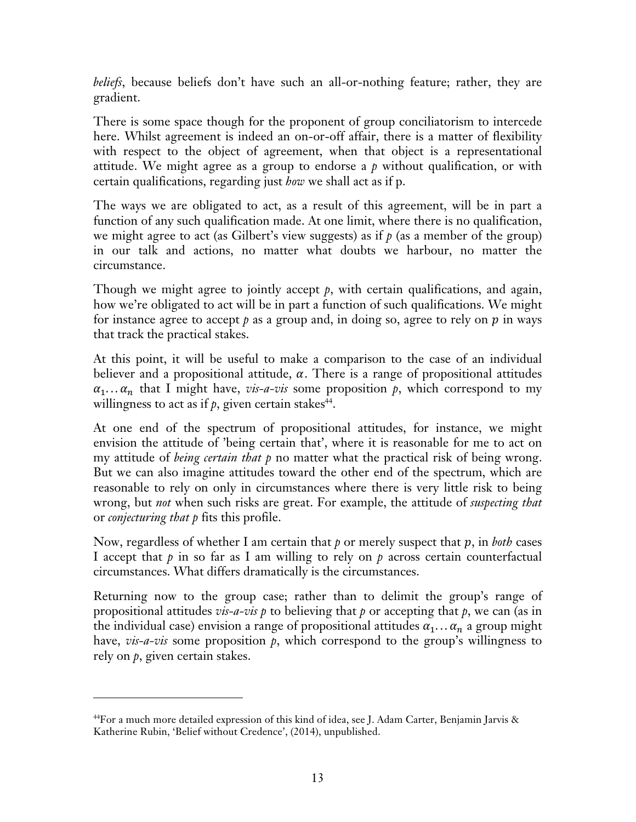*beliefs*, because beliefs don't have such an all-or-nothing feature; rather, they are gradient.

There is some space though for the proponent of group conciliatorism to intercede here. Whilst agreement is indeed an on-or-off affair, there is a matter of flexibility with respect to the object of agreement, when that object is a representational attitude. We might agree as a group to endorse a *p* without qualification, or with certain qualifications, regarding just *how* we shall act as if p.

The ways we are obligated to act, as a result of this agreement, will be in part a function of any such qualification made. At one limit, where there is no qualification, we might agree to act (as Gilbert's view suggests) as if p (as a member of the group) in our talk and actions, no matter what doubts we harbour, no matter the circumstance.

Though we might agree to jointly accept p, with certain qualifications, and again, how we're obligated to act will be in part a function of such qualifications. We might for instance agree to accept  $p$  as a group and, in doing so, agree to rely on  $p$  in ways that track the practical stakes.

At this point, it will be useful to make a comparison to the case of an individual believer and a propositional attitude,  $\alpha$ . There is a range of propositional attitudes  $\alpha_1 \ldots \alpha_n$  that I might have, *vis-a-vis* some proposition *p*, which correspond to my willingness to act as if  $p$ , given certain stakes<sup>44</sup>.

At one end of the spectrum of propositional attitudes, for instance, we might envision the attitude of 'being certain that', where it is reasonable for me to act on my attitude of *being certain that p* no matter what the practical risk of being wrong. But we can also imagine attitudes toward the other end of the spectrum, which are reasonable to rely on only in circumstances where there is very little risk to being wrong, but *not* when such risks are great. For example, the attitude of *suspecting that* or *conjecturing that p* fits this profile.

Now, regardless of whether I am certain that  $p$  or merely suspect that  $p$ , in *both* cases I accept that *p* in so far as I am willing to rely on *p* across certain counterfactual circumstances. What differs dramatically is the circumstances.

Returning now to the group case; rather than to delimit the group's range of propositional attitudes *vis-a-vis p* to believing that *p* or accepting that *p*, we can (as in the individual case) envision a range of propositional attitudes  $\alpha_1 \dots \alpha_n$  a group might have, *vis-a-vis* some proposition *p*, which correspond to the group's willingness to rely on *p*, given certain stakes.

<sup>&</sup>lt;sup>44</sup>For a much more detailed expression of this kind of idea, see J. Adam Carter, Benjamin Jarvis & Katherine Rubin, 'Belief without Credence', (2014), unpublished.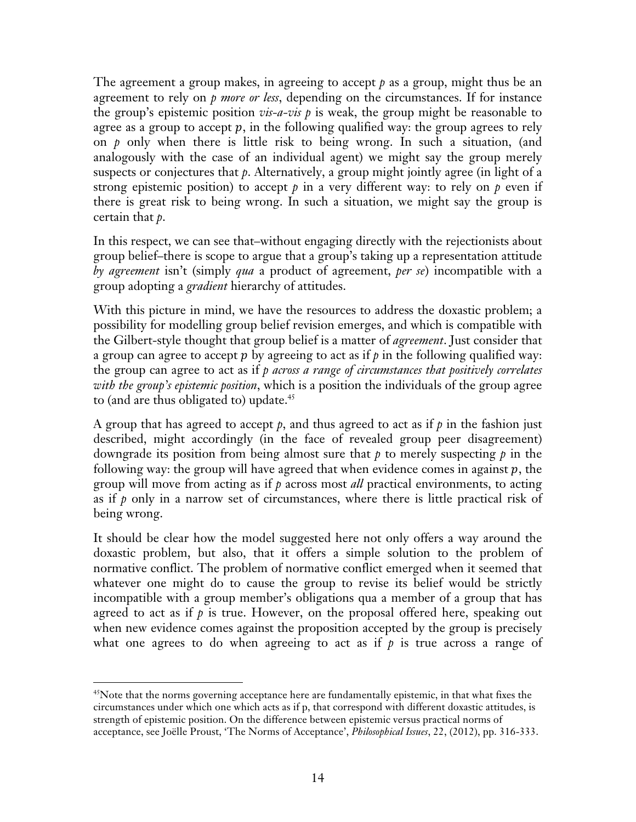The agreement a group makes, in agreeing to accept *p* as a group, might thus be an agreement to rely on *p more or less*, depending on the circumstances. If for instance the group's epistemic position  $vis-a-vis$   $p$  is weak, the group might be reasonable to agree as a group to accept  $p$ , in the following qualified way: the group agrees to rely on  $p$  only when there is little risk to being wrong. In such a situation, (and analogously with the case of an individual agent) we might say the group merely suspects or conjectures that *p*. Alternatively, a group might jointly agree (in light of a strong epistemic position) to accept  $p$  in a very different way: to rely on  $p$  even if there is great risk to being wrong. In such a situation, we might say the group is certain that *p*.

In this respect, we can see that–without engaging directly with the rejectionists about group belief–there is scope to argue that a group's taking up a representation attitude *by agreement* isn't (simply *qua* a product of agreement, *per se*) incompatible with a group adopting a *gradient* hierarchy of attitudes.

With this picture in mind, we have the resources to address the doxastic problem; a possibility for modelling group belief revision emerges, and which is compatible with the Gilbert-style thought that group belief is a matter of *agreement*. Just consider that a group can agree to accept  $p$  by agreeing to act as if  $p$  in the following qualified way: the group can agree to act as if *p across a range of circumstances that positively correlates with the group's epistemic position*, which is a position the individuals of the group agree to (and are thus obligated to) update. $45$ 

A group that has agreed to accept *p*, and thus agreed to act as if *p* in the fashion just described, might accordingly (in the face of revealed group peer disagreement) downgrade its position from being almost sure that *p* to merely suspecting *p* in the following way: the group will have agreed that when evidence comes in against  $p$ , the group will move from acting as if *p* across most *all* practical environments, to acting as if *p* only in a narrow set of circumstances, where there is little practical risk of being wrong.

It should be clear how the model suggested here not only offers a way around the doxastic problem, but also, that it offers a simple solution to the problem of normative conflict. The problem of normative conflict emerged when it seemed that whatever one might do to cause the group to revise its belief would be strictly incompatible with a group member's obligations qua a member of a group that has agreed to act as if  $p$  is true. However, on the proposal offered here, speaking out when new evidence comes against the proposition accepted by the group is precisely what one agrees to do when agreeing to act as if  $p$  is true across a range of

<sup>&</sup>lt;sup>45</sup>Note that the norms governing acceptance here are fundamentally epistemic, in that what fixes the circumstances under which one which acts as if p, that correspond with different doxastic attitudes, is strength of epistemic position. On the difference between epistemic versus practical norms of acceptance, see Joëlle Proust, 'The Norms of Acceptance', *Philosophical Issues*, 22, (2012), pp. 316-333.